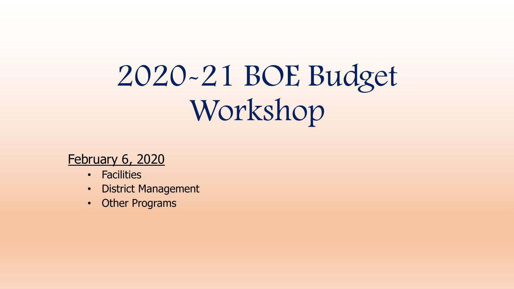# 2020-21 BOE Budget Workshop

February 6, 2020

- Facilities
- District Management
- Other Programs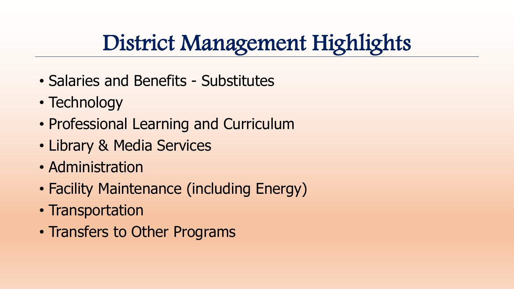### District Management Highlights

- Salaries and Benefits Substitutes
- Technology
- Professional Learning and Curriculum
- Library & Media Services
- Administration
- Facility Maintenance (including Energy)
- Transportation
- Transfers to Other Programs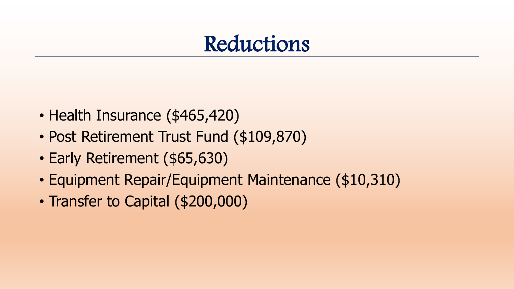#### Reductions

- Health Insurance (\$465,420)
- Post Retirement Trust Fund (\$109,870)
- Early Retirement (\$65,630)
- Equipment Repair/Equipment Maintenance (\$10,310)
- Transfer to Capital (\$200,000)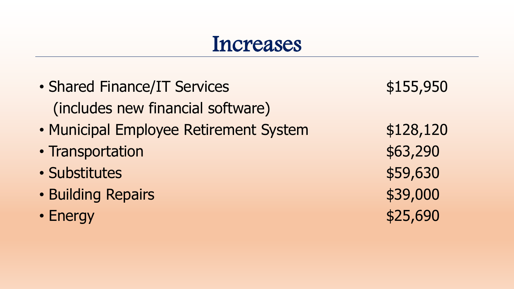#### Increases

• Shared Finance/IT Services \$155,950 (includes new financial software) • Municipal Employee Retirement System  $$128,120$ • Transportation **\*63,290** • Substitutes \$59,630 • Building Repairs **\$39,000** • Energy  $$25,690$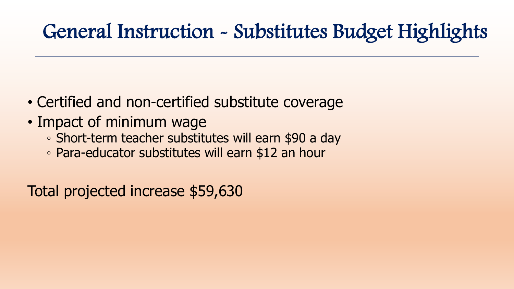#### General Instruction - Substitutes Budget Highlights

- Certified and non-certified substitute coverage
- Impact of minimum wage
	- Short-term teacher substitutes will earn \$90 a day
	- Para-educator substitutes will earn \$12 an hour

Total projected increase \$59,630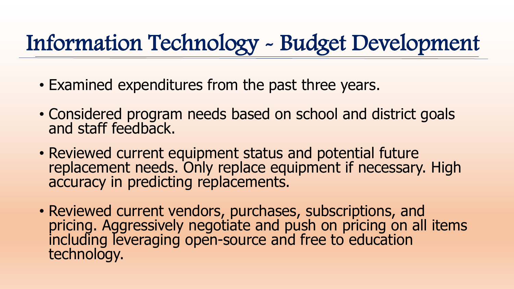# Information Technology - Budget Development

- Examined expenditures from the past three years.
- Considered program needs based on school and district goals and staff feedback.
- Reviewed current equipment status and potential future replacement needs. Only replace equipment if necessary. High accuracy in predicting replacements.
- Reviewed current vendors, purchases, subscriptions, and pricing. Aggressively negotiate and push on pricing on all items including leveraging open-source and free to education technology.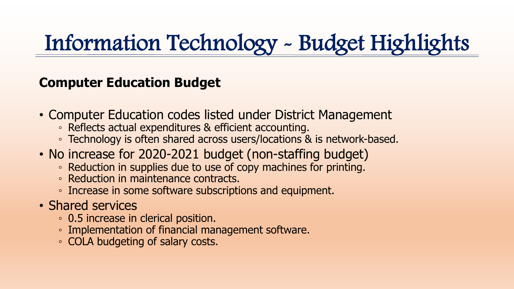# Information Technology - Budget Highlights

#### **Computer Education Budget**

- Computer Education codes listed under District Management
	- Reflects actual expenditures & efficient accounting.
	- Technology is often shared across users/locations & is network-based.
- No increase for 2020-2021 budget (non-staffing budget)
	- Reduction in supplies due to use of copy machines for printing.
	- Reduction in maintenance contracts.
	- Increase in some software subscriptions and equipment.
- Shared services
	- 0.5 increase in clerical position.
	- Implementation of financial management software.
	- COLA budgeting of salary costs.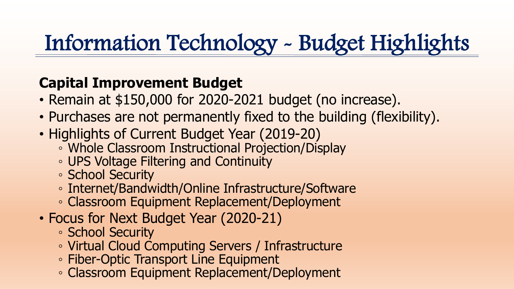# Information Technology - Budget Highlights

#### **Capital Improvement Budget**

- Remain at \$150,000 for 2020-2021 budget (no increase).
- Purchases are not permanently fixed to the building (flexibility).
- Highlights of Current Budget Year (2019-20)
	- Whole Classroom Instructional Projection/Display
	- UPS Voltage Filtering and Continuity
	- School Security
	- Internet/Bandwidth/Online Infrastructure/Software
	- Classroom Equipment Replacement/Deployment
- Focus for Next Budget Year (2020-21)
	- School Security
	- Virtual Cloud Computing Servers / Infrastructure
	- Fiber-Optic Transport Line Equipment
	- Classroom Equipment Replacement/Deployment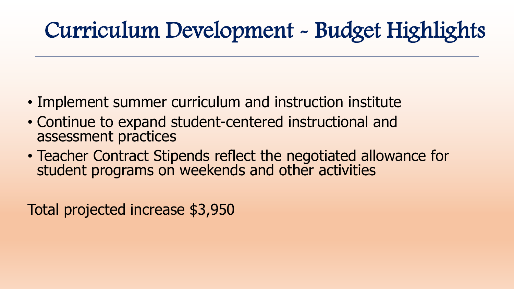# Curriculum Development - Budget Highlights

- Implement summer curriculum and instruction institute
- Continue to expand student-centered instructional and assessment practices
- Teacher Contract Stipends reflect the negotiated allowance for student programs on weekends and other activities

Total projected increase \$3,950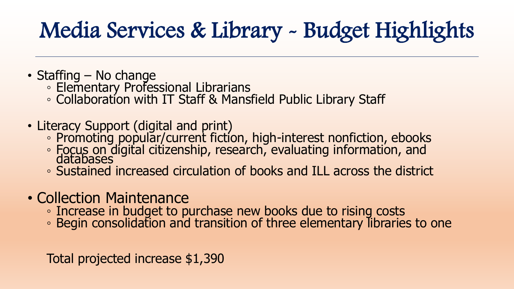# Media Services & Library - Budget Highlights

- Staffing No change
	- Elementary Professional Librarians
	- Collaboration with IT Staff & Mansfield Public Library Staff
- Literacy Support (digital and print)
	- Promoting popular/current fiction, high-interest nonfiction, ebooks
	- Focus on digital citizenship, research, evaluating information, and<br>databases
	- Sustained increased circulation of books and ILL across the district
- Collection Maintenance
	- Increase in budget to purchase new books due to rising costs
	- Begin consolidation and transition of three elementary libraries to one

Total projected increase \$1,390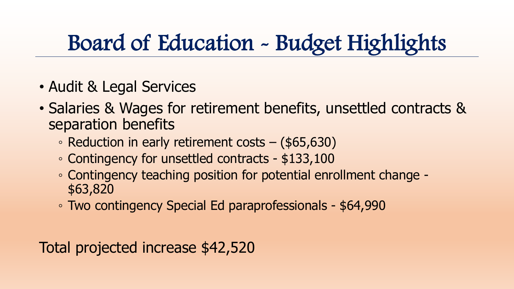### Board of Education - Budget Highlights

- Audit & Legal Services
- Salaries & Wages for retirement benefits, unsettled contracts & separation benefits
	- Reduction in early retirement costs (\$65,630)
	- Contingency for unsettled contracts \$133,100
	- Contingency teaching position for potential enrollment change \$63,820
	- Two contingency Special Ed paraprofessionals \$64,990

Total projected increase \$42,520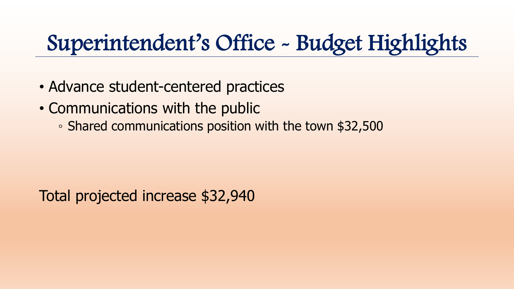### Superintendent's Office - Budget Highlights

- Advance student-centered practices
- Communications with the public
	- Shared communications position with the town \$32,500

Total projected increase \$32,940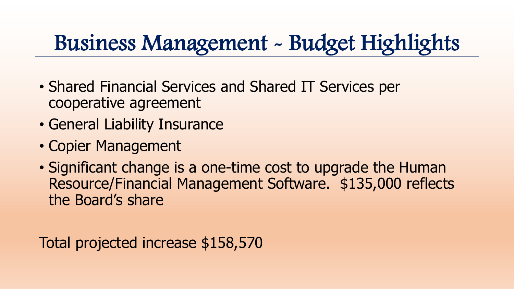### Business Management - Budget Highlights

- Shared Financial Services and Shared IT Services per cooperative agreement
- General Liability Insurance
- Copier Management
- Significant change is a one-time cost to upgrade the Human Resource/Financial Management Software. \$135,000 reflects the Board's share

Total projected increase \$158,570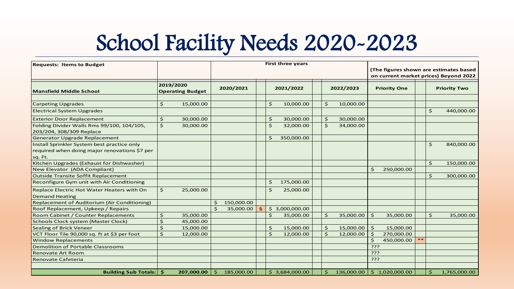### School Facility Needs 2020-2023

| <b>Requests: Items to Budget</b>                                                                        |                                      |            | <b>First three years</b> |            |                       |                     |                |  |                     |            | (The figures shown are estimates based<br>on current market prices) Beyond 2022 |                |       |                     |              |
|---------------------------------------------------------------------------------------------------------|--------------------------------------|------------|--------------------------|------------|-----------------------|---------------------|----------------|--|---------------------|------------|---------------------------------------------------------------------------------|----------------|-------|---------------------|--------------|
| <b>Mansfield Middle School</b>                                                                          | 2019/2020<br><b>Operating Budget</b> |            |                          | 2020/2021  |                       |                     | 2021/2022      |  | 2022/2023           |            | <b>Priority One</b>                                                             |                |       | <b>Priority Two</b> |              |
| <b>Carpeting Upgrades</b>                                                                               | \$                                   | 15,000.00  |                          |            |                       | \$                  | 10,000.00      |  | \$.                 | 10,000.00  |                                                                                 |                |       |                     |              |
| <b>Electrical System Upgrades</b>                                                                       |                                      |            |                          |            |                       |                     |                |  |                     |            |                                                                                 |                |       | \$                  | 440,000.00   |
| <b>Exterior Door Replacement</b>                                                                        | \$                                   | 30,000.00  |                          |            |                       | \$                  | 30,000.00      |  | $\frac{1}{2}$       | 30,000.00  |                                                                                 |                |       |                     |              |
| Folding Divider Walls Rms 99/100, 104/105,<br>203/204, 308/309 Replace                                  | $\zeta$                              | 30,000.00  |                          |            |                       | \$                  | 32,000.00      |  | $\ddot{\mathbf{S}}$ | 34,000.00  |                                                                                 |                |       |                     |              |
| Generator Upgrade Replacement                                                                           |                                      |            |                          |            |                       | \$                  | 350,000.00     |  |                     |            |                                                                                 |                |       |                     |              |
| Install Sprinkler System best practice only<br>required when doing major renovations \$7 per<br>sq. Ft. |                                      |            |                          |            |                       |                     |                |  |                     |            |                                                                                 |                |       | \$                  | 840,000.00   |
| Kitchen Upgrades (Exhaust for Dishwasher)                                                               |                                      |            |                          |            |                       |                     |                |  |                     |            |                                                                                 |                |       | $\ddot{\mathsf{S}}$ | 150,000.00   |
| New Elevator (ADA Compliant)                                                                            |                                      |            |                          |            |                       |                     |                |  |                     |            | \$                                                                              | 250,000.00     |       |                     |              |
| <b>Outside Transite Soffit Replacement</b>                                                              |                                      |            |                          |            |                       |                     |                |  |                     |            |                                                                                 |                |       | \$                  | 300,000.00   |
| Reconfigure Gym unit with Air Conditioning                                                              |                                      |            |                          |            |                       | \$                  | 175,000.00     |  |                     |            |                                                                                 |                |       |                     |              |
| Replace Electric Hot Water Heaters with On<br><b>Demand Heating</b>                                     | $\frac{1}{2}$                        | 25,000.00  |                          |            |                       | \$                  | 25,000.00      |  |                     |            |                                                                                 |                |       |                     |              |
| Replacement of Auditorium (Air Conditioning)                                                            |                                      |            | Ś.                       | 150,000.00 |                       |                     |                |  |                     |            |                                                                                 |                |       |                     |              |
| Roof Replacement, Upkeep / Repairs                                                                      |                                      |            |                          | 35,000.00  | $\mathbf{\mathsf{S}}$ | \$                  | 3,000,000.00   |  |                     |            |                                                                                 |                |       |                     |              |
| Room Cabinet / Counter Replacements                                                                     | Ś                                    | 35,000.00  |                          |            |                       | \$                  | 35,000.00      |  | $\mathsf{S}$        | 35,000.00  | \$                                                                              | 35,000.00      |       | \$                  | 35,000.00    |
| Schools Clock system (Master Clock)                                                                     | Ś                                    | 45,000.00  |                          |            |                       |                     |                |  |                     |            |                                                                                 |                |       |                     |              |
| Sealing of Brick Veneer                                                                                 | Ś                                    | 15,000.00  |                          |            |                       | \$                  | 15,000.00      |  | $\varsigma$         | 15,000.00  | \$                                                                              | 15,000.00      |       |                     |              |
| VCT Floor Tile 90,000 sq. ft at \$3 per foot                                                            | Ś.                                   | 12,000.00  |                          |            |                       | $\ddot{\mathsf{S}}$ | 12,000.00      |  | Ś.                  | 12,000.00  | \$                                                                              | 270,000.00     |       |                     |              |
| <b>Window Replacements</b>                                                                              |                                      |            |                          |            |                       |                     |                |  |                     |            | \$                                                                              | 450,000.00     | $* *$ |                     |              |
| <b>Demolition of Portable Classrooms</b>                                                                |                                      |            |                          |            |                       |                     |                |  |                     |            | ???                                                                             |                |       |                     |              |
| <b>Renovate Art Room</b>                                                                                |                                      |            |                          |            |                       |                     |                |  |                     |            | ذذذ                                                                             |                |       |                     |              |
| Renovate Cafeteria                                                                                      |                                      |            |                          |            |                       |                     |                |  |                     |            | ذذذ                                                                             |                |       |                     |              |
| Building Sub Totals:   \$                                                                               |                                      | 207,000.00 | Ś.                       | 185,000.00 |                       |                     | \$3,684,000.00 |  | \$                  | 136,000.00 |                                                                                 | \$1,020,000.00 |       | \$                  | 1,765,000.00 |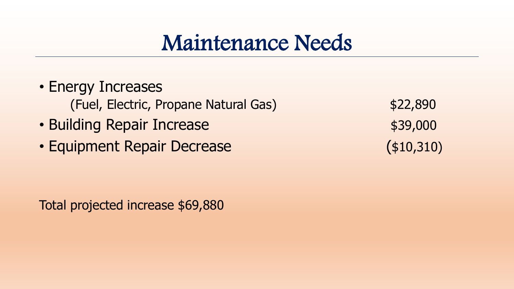#### Maintenance Needs

- Energy Increases (Fuel, Electric, Propane Natural Gas) \$22,890
- Building Repair Increase **\$39,000**
- Equipment Repair Decrease (\$10,310)

Total projected increase \$69,880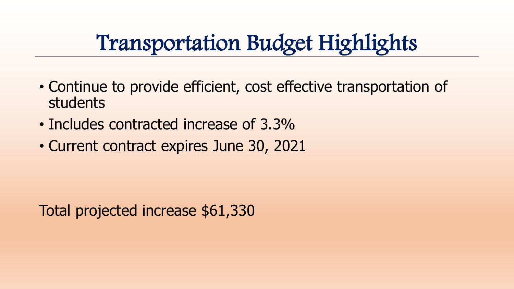#### Transportation Budget Highlights

- Continue to provide efficient, cost effective transportation of students
- Includes contracted increase of 3.3%
- Current contract expires June 30, 2021

Total projected increase \$61,330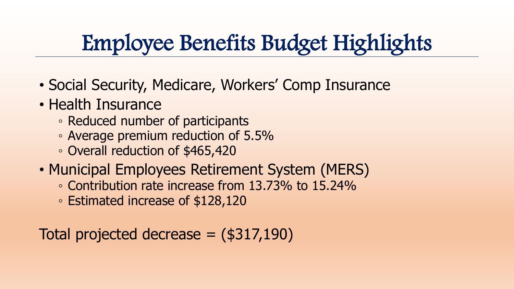# Employee Benefits Budget Highlights

- Social Security, Medicare, Workers' Comp Insurance
- Health Insurance
	- Reduced number of participants
	- Average premium reduction of 5.5%
	- Overall reduction of \$465,420
- Municipal Employees Retirement System (MERS)
	- Contribution rate increase from 13.73% to 15.24%
	- Estimated increase of \$128,120

```
Total projected decrease = ($317,190)
```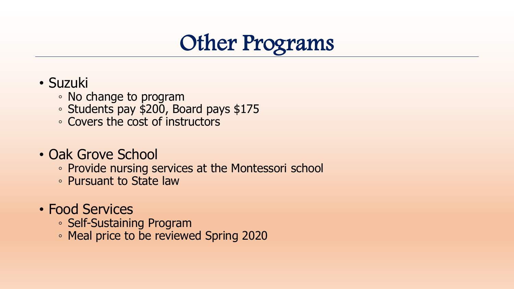

- Suzuki
	- No change to program
	- Students pay \$200, Board pays \$175
	- Covers the cost of instructors
- Oak Grove School
	- Provide nursing services at the Montessori school
	- Pursuant to State law
- Food Services
	- Self-Sustaining Program
	- Meal price to be reviewed Spring 2020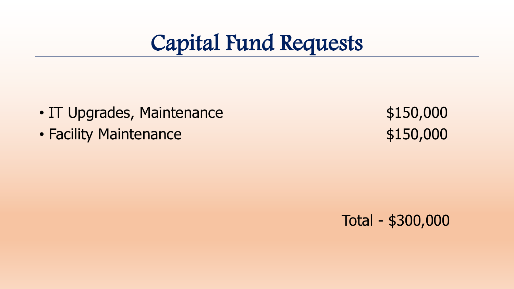

- IT Upgrades, Maintenance  $$150,000$
- Facility Maintenance \$150,000

Total - \$300,000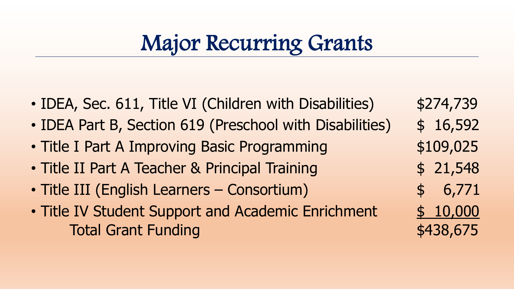### Major Recurring Grants

- IDEA, Sec. 611, Title VI (Children with Disabilities) \$274,739
- IDEA Part B, Section 619 (Preschool with Disabilities) \$ 16,592
- Title I Part A Improving Basic Programming  $$109,025$
- Title II Part A Teacher & Principal Training  $\qquad \qquad$  \$ 21,548
- Title III (English Learners Consortium)  $\qquad \qquad$  \$ 6,771
- Title IV Student Support and Academic Enrichment \$ 10,000 Total Grant Funding and the state of the state state state state state state state state state state state state state state state state state state state state state state state state state state state state state state s